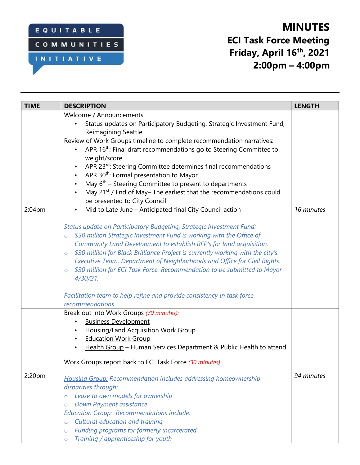### EQUITABLE

# **COMMUNITIES**

#### INITIATIVE

# **MINUTES ECI Task Force Meeting Friday, April 16th , 2021 2:00pm – 4:00pm**

| <b>TIME</b>        | <b>DESCRIPTION</b>                                                                                                                                                                                                                                                                                                                                                                                                                                                                                                                                                                                                                                                                                                                                                                                                                                                                                                                                                                                                                                                                                                                                                                                                                                                                             | <b>LENGTH</b> |
|--------------------|------------------------------------------------------------------------------------------------------------------------------------------------------------------------------------------------------------------------------------------------------------------------------------------------------------------------------------------------------------------------------------------------------------------------------------------------------------------------------------------------------------------------------------------------------------------------------------------------------------------------------------------------------------------------------------------------------------------------------------------------------------------------------------------------------------------------------------------------------------------------------------------------------------------------------------------------------------------------------------------------------------------------------------------------------------------------------------------------------------------------------------------------------------------------------------------------------------------------------------------------------------------------------------------------|---------------|
| 2:04 <sub>pm</sub> | Welcome / Announcements<br>Status updates on Participatory Budgeting, Strategic Investment Fund,<br>Reimagining Seattle<br>Review of Work Groups timeline to complete recommendation narratives:<br>APR 16 <sup>th</sup> : Final draft recommendations go to Steering Committee to<br>weight/score<br>APR 23rd: Steering Committee determines final recommendations<br>APR 30 <sup>th</sup> : Formal presentation to Mayor<br>May $6th$ – Steering Committee to present to departments<br>May 21 <sup>st</sup> / End of May-The earliest that the recommendations could<br>be presented to City Council<br>Mid to Late June - Anticipated final City Council action<br>$\bullet$<br>Status update on Participatory Budgeting, Strategic Investment Fund:<br>\$30 million Strategic Investment Fund is working with the Office of<br>$\circ$<br>Community Land Development to establish RFP's for land acquisition.<br>\$30 million for Black Brilliance Project is currently working with the city's<br>$\circ$<br>Executive Team, Department of Neighborhoods and Office for Civil Rights.<br>\$30 million for ECI Task Force. Recommendation to be submitted to Mayor<br>$\circ$<br>$4/30/21$ .<br>Facilitation team to help refine and provide consistency in task force<br>recommendations | 16 minutes    |
| 2:20 <sub>pm</sub> | Break out into Work Groups (70 minutes):<br><b>Business Development</b><br>Housing/Land Acquisition Work Group<br><b>Education Work Group</b><br>Health Group - Human Services Department & Public Health to attend<br>Work Groups report back to ECI Task Force (30 minutes)<br><b>Housing Group: Recommendation includes addressing homeownership</b><br>disparities through:<br>Lease to own models for ownership<br>$\circ$<br>Down Payment assistance<br>$\circ$<br><b>Education Group: Recommendations include:</b><br>Cultural education and training<br>$\circ$<br>Funding programs for formerly incarcerated<br>$\circ$<br>Training / apprenticeship for youth<br>$\circ$                                                                                                                                                                                                                                                                                                                                                                                                                                                                                                                                                                                                             | 94 minutes    |